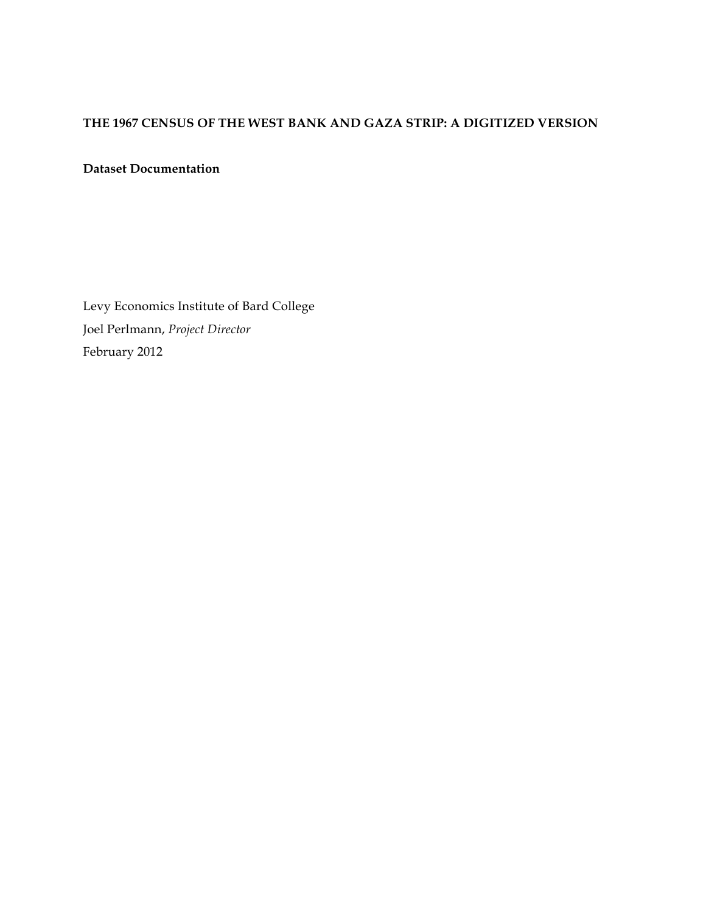# **THE 1967 CENSUS OF THE WEST BANK AND GAZA STRIP: A DIGITIZED VERSION**

## **Dataset Documentation**

Levy Economics Institute of Bard College Joel Perlmann, *Project Director* February 2012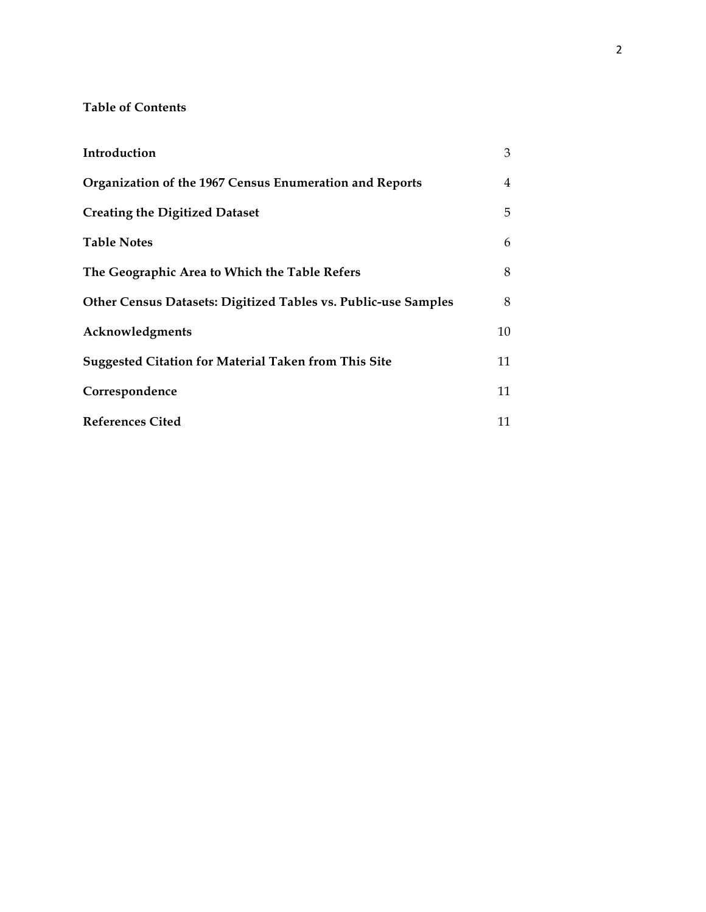## **Table of Contents**

| Introduction                                                   | 3  |
|----------------------------------------------------------------|----|
| Organization of the 1967 Census Enumeration and Reports        | 4  |
| <b>Creating the Digitized Dataset</b>                          | 5  |
| <b>Table Notes</b>                                             | 6  |
| The Geographic Area to Which the Table Refers                  | 8  |
| Other Census Datasets: Digitized Tables vs. Public-use Samples | 8  |
| Acknowledgments                                                | 10 |
| <b>Suggested Citation for Material Taken from This Site</b>    | 11 |
| Correspondence                                                 | 11 |
| <b>References Cited</b>                                        | 11 |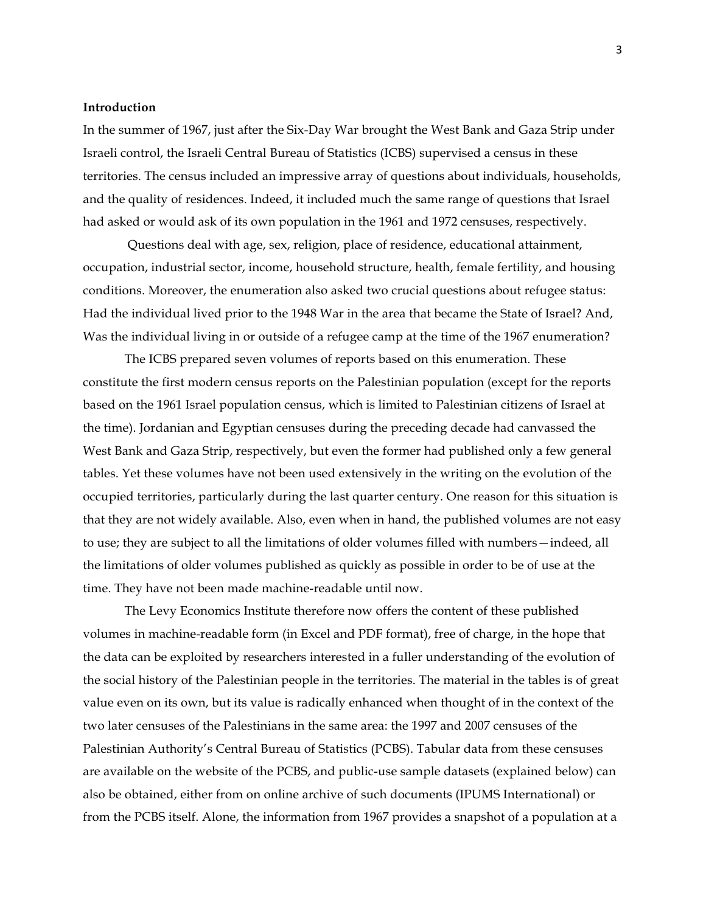### **Introduction**

In the summer of 1967, just after the Six-Day War brought the West Bank and Gaza Strip under Israeli control, the Israeli Central Bureau of Statistics (ICBS) supervised a census in these territories. The census included an impressive array of questions about individuals, households, and the quality of residences. Indeed, it included much the same range of questions that Israel had asked or would ask of its own population in the 1961 and 1972 censuses, respectively.

Questions deal with age, sex, religion, place of residence, educational attainment, occupation, industrial sector, income, household structure, health, female fertility, and housing conditions. Moreover, the enumeration also asked two crucial questions about refugee status: Had the individual lived prior to the 1948 War in the area that became the State of Israel? And, Was the individual living in or outside of a refugee camp at the time of the 1967 enumeration?

The ICBS prepared seven volumes of reports based on this enumeration. These constitute the first modern census reports on the Palestinian population (except for the reports based on the 1961 Israel population census, which is limited to Palestinian citizens of Israel at the time). Jordanian and Egyptian censuses during the preceding decade had canvassed the West Bank and Gaza Strip, respectively, but even the former had published only a few general tables. Yet these volumes have not been used extensively in the writing on the evolution of the occupied territories, particularly during the last quarter century. One reason for this situation is that they are not widely available. Also, even when in hand, the published volumes are not easy to use; they are subject to all the limitations of older volumes filled with numbers—indeed, all the limitations of older volumes published as quickly as possible in order to be of use at the time. They have not been made machine-readable until now.

The Levy Economics Institute therefore now offers the content of these published volumes in machine-readable form (in Excel and PDF format), free of charge, in the hope that the data can be exploited by researchers interested in a fuller understanding of the evolution of the social history of the Palestinian people in the territories. The material in the tables is of great value even on its own, but its value is radically enhanced when thought of in the context of the two later censuses of the Palestinians in the same area: the 1997 and 2007 censuses of the Palestinian Authority's Central Bureau of Statistics (PCBS). Tabular data from these censuses are available on the website of the PCBS, and public-use sample datasets (explained below) can also be obtained, either from on online archive of such documents (IPUMS International) or from the PCBS itself. Alone, the information from 1967 provides a snapshot of a population at a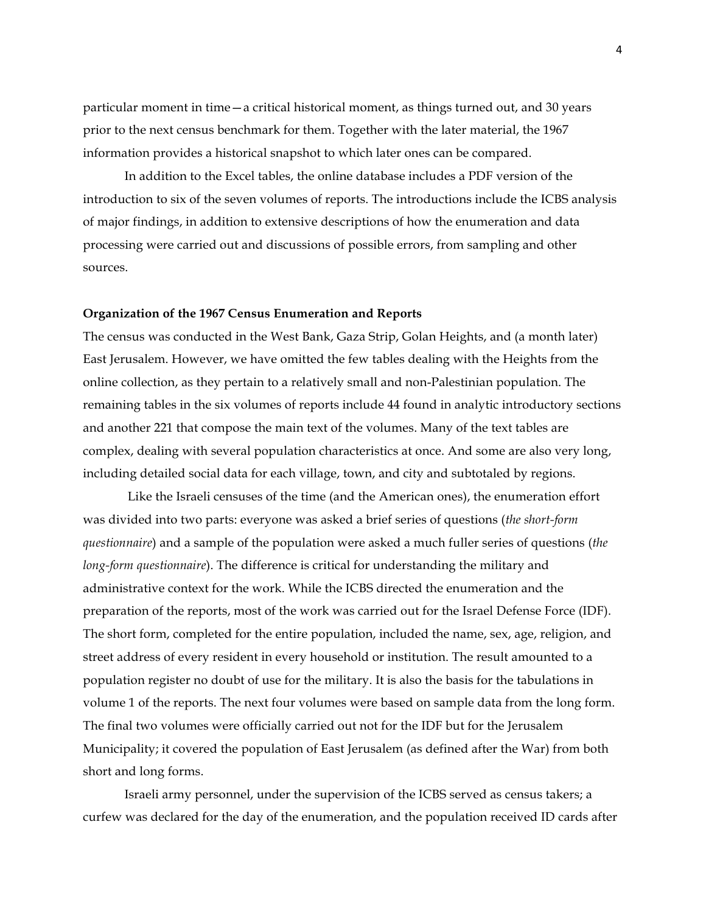particular moment in time—a critical historical moment, as things turned out, and 30 years prior to the next census benchmark for them. Together with the later material, the 1967 information provides a historical snapshot to which later ones can be compared.

In addition to the Excel tables, the online database includes a PDF version of the introduction to six of the seven volumes of reports. The introductions include the ICBS analysis of major findings, in addition to extensive descriptions of how the enumeration and data processing were carried out and discussions of possible errors, from sampling and other sources.

#### **Organization of the 1967 Census Enumeration and Reports**

The census was conducted in the West Bank, Gaza Strip, Golan Heights, and (a month later) East Jerusalem. However, we have omitted the few tables dealing with the Heights from the online collection, as they pertain to a relatively small and non-Palestinian population. The remaining tables in the six volumes of reports include 44 found in analytic introductory sections and another 221 that compose the main text of the volumes. Many of the text tables are complex, dealing with several population characteristics at once. And some are also very long, including detailed social data for each village, town, and city and subtotaled by regions.

Like the Israeli censuses of the time (and the American ones), the enumeration effort was divided into two parts: everyone was asked a brief series of questions (*the short-form questionnaire*) and a sample of the population were asked a much fuller series of questions (*the long-form questionnaire*). The difference is critical for understanding the military and administrative context for the work. While the ICBS directed the enumeration and the preparation of the reports, most of the work was carried out for the Israel Defense Force (IDF). The short form, completed for the entire population, included the name, sex, age, religion, and street address of every resident in every household or institution. The result amounted to a population register no doubt of use for the military. It is also the basis for the tabulations in volume 1 of the reports. The next four volumes were based on sample data from the long form. The final two volumes were officially carried out not for the IDF but for the Jerusalem Municipality; it covered the population of East Jerusalem (as defined after the War) from both short and long forms.

Israeli army personnel, under the supervision of the ICBS served as census takers; a curfew was declared for the day of the enumeration, and the population received ID cards after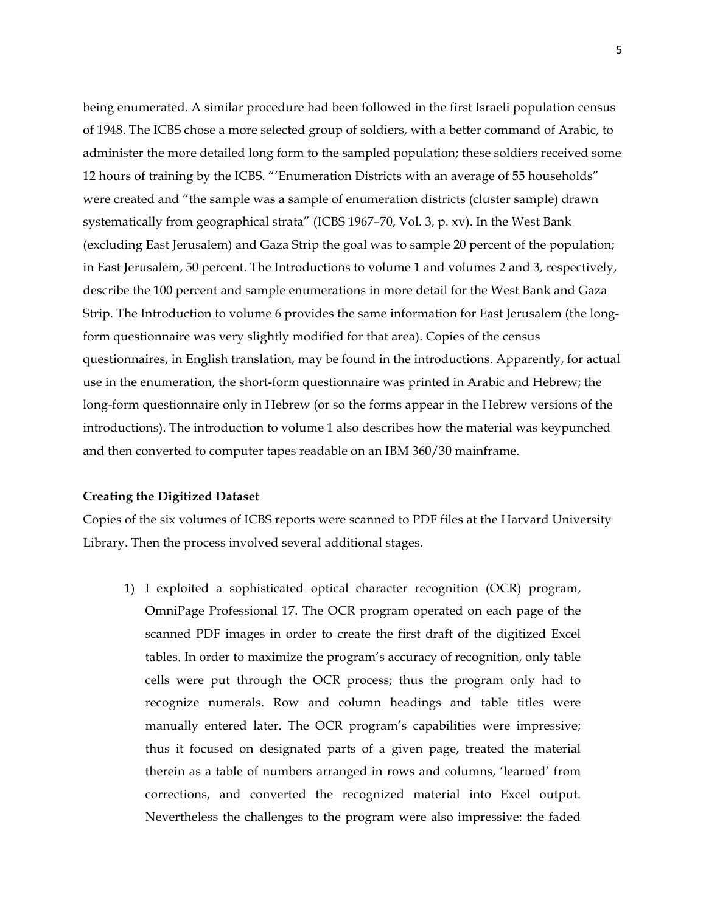being enumerated. A similar procedure had been followed in the first Israeli population census of 1948. The ICBS chose a more selected group of soldiers, with a better command of Arabic, to administer the more detailed long form to the sampled population; these soldiers received some 12 hours of training by the ICBS. "'Enumeration Districts with an average of 55 households" were created and "the sample was a sample of enumeration districts (cluster sample) drawn systematically from geographical strata" (ICBS 1967–70, Vol. 3, p. xv). In the West Bank (excluding East Jerusalem) and Gaza Strip the goal was to sample 20 percent of the population; in East Jerusalem, 50 percent. The Introductions to volume 1 and volumes 2 and 3, respectively, describe the 100 percent and sample enumerations in more detail for the West Bank and Gaza Strip. The Introduction to volume 6 provides the same information for East Jerusalem (the longform questionnaire was very slightly modified for that area). Copies of the census questionnaires, in English translation, may be found in the introductions. Apparently, for actual use in the enumeration, the short-form questionnaire was printed in Arabic and Hebrew; the long-form questionnaire only in Hebrew (or so the forms appear in the Hebrew versions of the introductions). The introduction to volume 1 also describes how the material was keypunched and then converted to computer tapes readable on an IBM 360/30 mainframe.

#### **Creating the Digitized Dataset**

Copies of the six volumes of ICBS reports were scanned to PDF files at the Harvard University Library. Then the process involved several additional stages.

1) I exploited a sophisticated optical character recognition (OCR) program, OmniPage Professional 17. The OCR program operated on each page of the scanned PDF images in order to create the first draft of the digitized Excel tables. In order to maximize the program's accuracy of recognition, only table cells were put through the OCR process; thus the program only had to recognize numerals. Row and column headings and table titles were manually entered later. The OCR program's capabilities were impressive; thus it focused on designated parts of a given page, treated the material therein as a table of numbers arranged in rows and columns, 'learned' from corrections, and converted the recognized material into Excel output. Nevertheless the challenges to the program were also impressive: the faded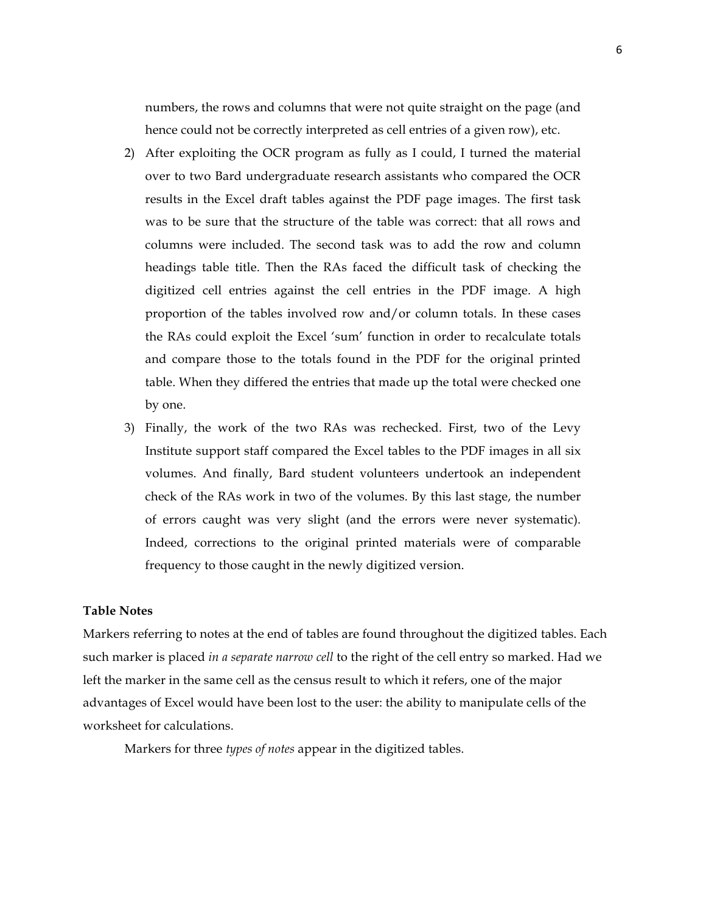numbers, the rows and columns that were not quite straight on the page (and hence could not be correctly interpreted as cell entries of a given row), etc.

- 2) After exploiting the OCR program as fully as I could, I turned the material over to two Bard undergraduate research assistants who compared the OCR results in the Excel draft tables against the PDF page images. The first task was to be sure that the structure of the table was correct: that all rows and columns were included. The second task was to add the row and column headings table title. Then the RAs faced the difficult task of checking the digitized cell entries against the cell entries in the PDF image. A high proportion of the tables involved row and/or column totals. In these cases the RAs could exploit the Excel 'sum' function in order to recalculate totals and compare those to the totals found in the PDF for the original printed table. When they differed the entries that made up the total were checked one by one.
- 3) Finally, the work of the two RAs was rechecked. First, two of the Levy Institute support staff compared the Excel tables to the PDF images in all six volumes. And finally, Bard student volunteers undertook an independent check of the RAs work in two of the volumes. By this last stage, the number of errors caught was very slight (and the errors were never systematic). Indeed, corrections to the original printed materials were of comparable frequency to those caught in the newly digitized version.

#### **Table Notes**

Markers referring to notes at the end of tables are found throughout the digitized tables. Each such marker is placed *in a separate narrow cell* to the right of the cell entry so marked. Had we left the marker in the same cell as the census result to which it refers, one of the major advantages of Excel would have been lost to the user: the ability to manipulate cells of the worksheet for calculations.

Markers for three *types of notes* appear in the digitized tables.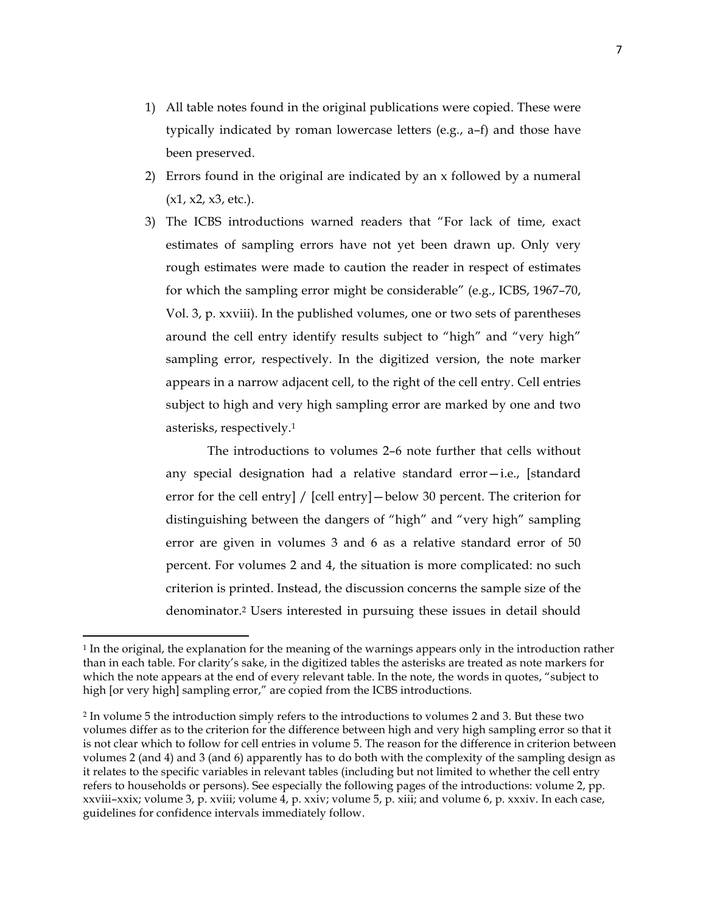- 1) All table notes found in the original publications were copied. These were typically indicated by roman lowercase letters (e.g., a–f) and those have been preserved.
- 2) Errors found in the original are indicated by an x followed by a numeral  $(x1, x2, x3, etc.).$
- 3) The ICBS introductions warned readers that "For lack of time, exact estimates of sampling errors have not yet been drawn up. Only very rough estimates were made to caution the reader in respect of estimates for which the sampling error might be considerable" (e.g., ICBS, 1967–70, Vol. 3, p. xxviii). In the published volumes, one or two sets of parentheses around the cell entry identify results subject to "high" and "very high" sampling error, respectively. In the digitized version, the note marker appears in a narrow adjacent cell, to the right of the cell entry. Cell entries subject to high and very high sampling error are marked by one and two asterisks, respectively.1

The introductions to volumes 2–6 note further that cells without any special designation had a relative standard error—i.e., [standard error for the cell entry] / [cell entry] – below 30 percent. The criterion for distinguishing between the dangers of "high" and "very high" sampling error are given in volumes 3 and 6 as a relative standard error of 50 percent. For volumes 2 and 4, the situation is more complicated: no such criterion is printed. Instead, the discussion concerns the sample size of the denominator.2 Users interested in pursuing these issues in detail should

<u> 1989 - Johann Stein, markin film yn y breninn y breninn y breninn y breninn y breninn y breninn y breninn y b</u>

<sup>1</sup> In the original, the explanation for the meaning of the warnings appears only in the introduction rather than in each table. For clarity's sake, in the digitized tables the asterisks are treated as note markers for which the note appears at the end of every relevant table. In the note, the words in quotes, "subject to high [or very high] sampling error," are copied from the ICBS introductions.

<sup>2</sup> In volume 5 the introduction simply refers to the introductions to volumes 2 and 3. But these two volumes differ as to the criterion for the difference between high and very high sampling error so that it is not clear which to follow for cell entries in volume 5. The reason for the difference in criterion between volumes 2 (and 4) and 3 (and 6) apparently has to do both with the complexity of the sampling design as it relates to the specific variables in relevant tables (including but not limited to whether the cell entry refers to households or persons). See especially the following pages of the introductions: volume 2, pp. xxviii–xxix; volume 3, p. xviii; volume 4, p. xxiv; volume 5, p. xiii; and volume 6, p. xxxiv. In each case, guidelines for confidence intervals immediately follow.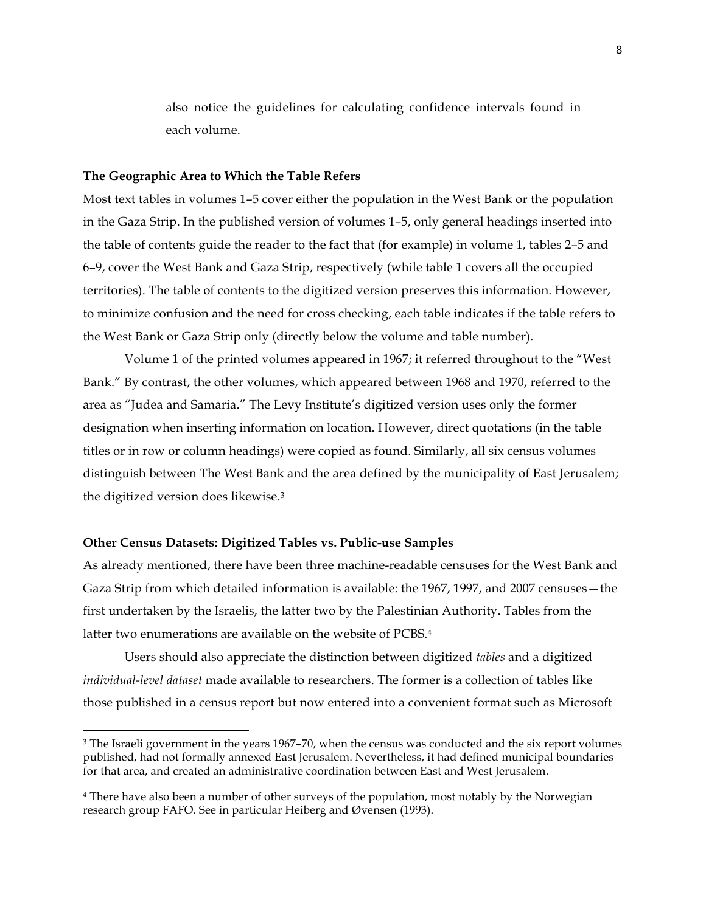also notice the guidelines for calculating confidence intervals found in each volume.

#### **The Geographic Area to Which the Table Refers**

Most text tables in volumes 1–5 cover either the population in the West Bank or the population in the Gaza Strip. In the published version of volumes 1–5, only general headings inserted into the table of contents guide the reader to the fact that (for example) in volume 1, tables 2–5 and 6–9, cover the West Bank and Gaza Strip, respectively (while table 1 covers all the occupied territories). The table of contents to the digitized version preserves this information. However, to minimize confusion and the need for cross checking, each table indicates if the table refers to the West Bank or Gaza Strip only (directly below the volume and table number).

Volume 1 of the printed volumes appeared in 1967; it referred throughout to the "West Bank." By contrast, the other volumes, which appeared between 1968 and 1970, referred to the area as "Judea and Samaria." The Levy Institute's digitized version uses only the former designation when inserting information on location. However, direct quotations (in the table titles or in row or column headings) were copied as found. Similarly, all six census volumes distinguish between The West Bank and the area defined by the municipality of East Jerusalem; the digitized version does likewise.3

#### **Other Census Datasets: Digitized Tables vs. Public-use Samples**

<u> 1989 - Johann Stein, markin film yn y breninn y breninn y breninn y breninn y breninn y breninn y breninn y b</u>

As already mentioned, there have been three machine-readable censuses for the West Bank and Gaza Strip from which detailed information is available: the 1967, 1997, and 2007 censuses—the first undertaken by the Israelis, the latter two by the Palestinian Authority. Tables from the latter two enumerations are available on the website of PCBS.4

Users should also appreciate the distinction between digitized *tables* and a digitized *individual-level dataset* made available to researchers. The former is a collection of tables like those published in a census report but now entered into a convenient format such as Microsoft

<sup>&</sup>lt;sup>3</sup> The Israeli government in the years 1967–70, when the census was conducted and the six report volumes published, had not formally annexed East Jerusalem. Nevertheless, it had defined municipal boundaries for that area, and created an administrative coordination between East and West Jerusalem.

<sup>4</sup> There have also been a number of other surveys of the population, most notably by the Norwegian research group FAFO. See in particular Heiberg and Øvensen (1993).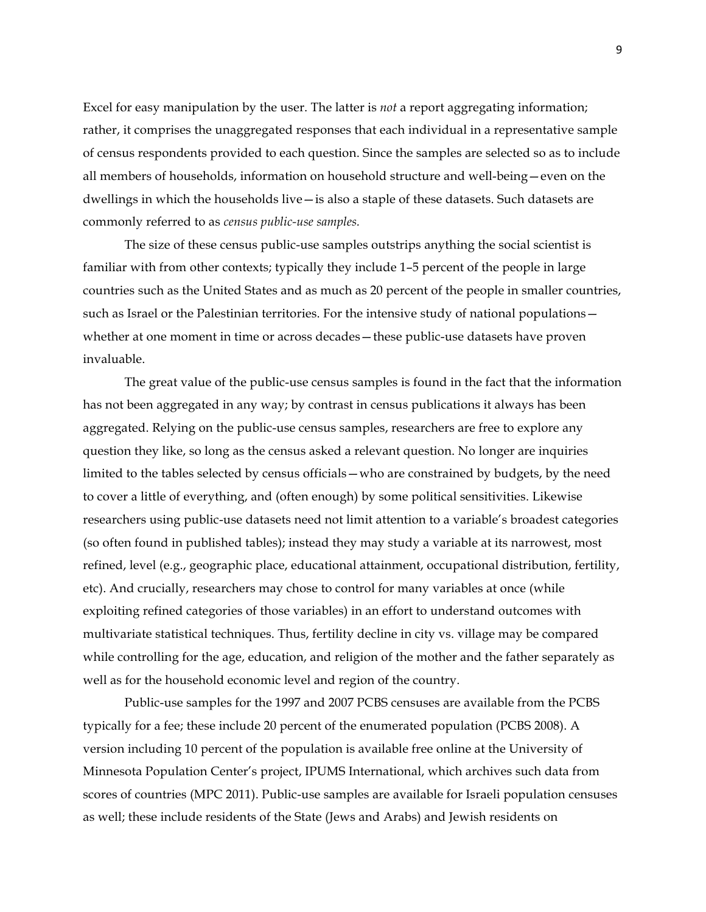Excel for easy manipulation by the user. The latter is *not* a report aggregating information; rather, it comprises the unaggregated responses that each individual in a representative sample of census respondents provided to each question. Since the samples are selected so as to include all members of households, information on household structure and well-being—even on the dwellings in which the households live—is also a staple of these datasets. Such datasets are commonly referred to as *census public-use samples.*

The size of these census public-use samples outstrips anything the social scientist is familiar with from other contexts; typically they include 1–5 percent of the people in large countries such as the United States and as much as 20 percent of the people in smaller countries, such as Israel or the Palestinian territories. For the intensive study of national populations whether at one moment in time or across decades—these public-use datasets have proven invaluable.

The great value of the public-use census samples is found in the fact that the information has not been aggregated in any way; by contrast in census publications it always has been aggregated. Relying on the public-use census samples, researchers are free to explore any question they like, so long as the census asked a relevant question. No longer are inquiries limited to the tables selected by census officials—who are constrained by budgets, by the need to cover a little of everything, and (often enough) by some political sensitivities. Likewise researchers using public-use datasets need not limit attention to a variable's broadest categories (so often found in published tables); instead they may study a variable at its narrowest, most refined, level (e.g., geographic place, educational attainment, occupational distribution, fertility, etc). And crucially, researchers may chose to control for many variables at once (while exploiting refined categories of those variables) in an effort to understand outcomes with multivariate statistical techniques. Thus, fertility decline in city vs. village may be compared while controlling for the age, education, and religion of the mother and the father separately as well as for the household economic level and region of the country.

Public-use samples for the 1997 and 2007 PCBS censuses are available from the PCBS typically for a fee; these include 20 percent of the enumerated population (PCBS 2008). A version including 10 percent of the population is available free online at the University of Minnesota Population Center's project, IPUMS International, which archives such data from scores of countries (MPC 2011). Public-use samples are available for Israeli population censuses as well; these include residents of the State (Jews and Arabs) and Jewish residents on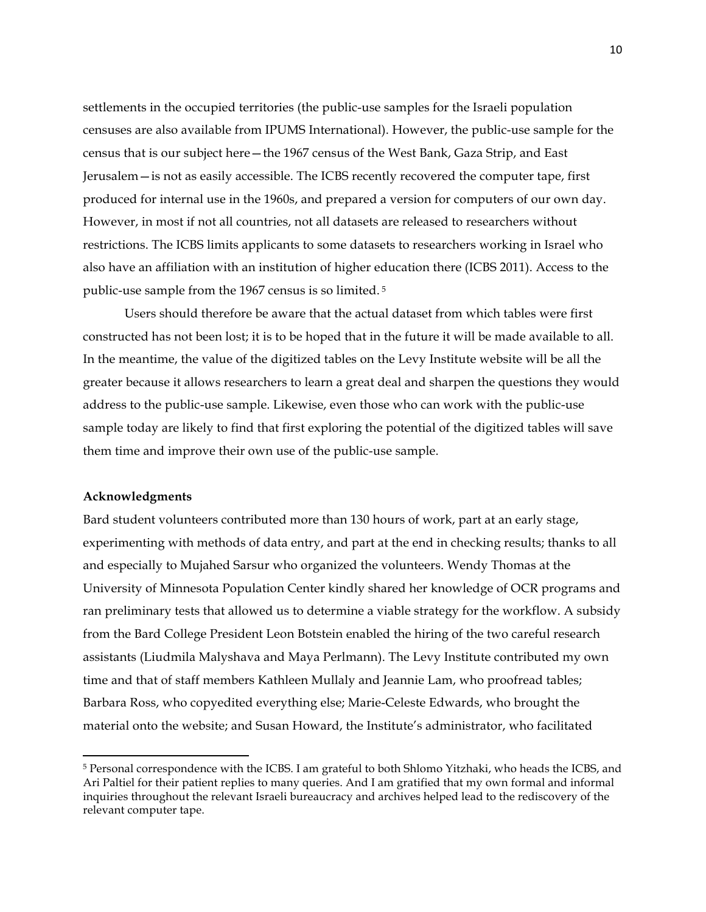settlements in the occupied territories (the public-use samples for the Israeli population censuses are also available from IPUMS International). However, the public-use sample for the census that is our subject here—the 1967 census of the West Bank, Gaza Strip, and East Jerusalem—is not as easily accessible. The ICBS recently recovered the computer tape, first produced for internal use in the 1960s, and prepared a version for computers of our own day. However, in most if not all countries, not all datasets are released to researchers without restrictions. The ICBS limits applicants to some datasets to researchers working in Israel who also have an affiliation with an institution of higher education there (ICBS 2011). Access to the public-use sample from the 1967 census is so limited. <sup>5</sup>

Users should therefore be aware that the actual dataset from which tables were first constructed has not been lost; it is to be hoped that in the future it will be made available to all. In the meantime, the value of the digitized tables on the Levy Institute website will be all the greater because it allows researchers to learn a great deal and sharpen the questions they would address to the public-use sample. Likewise, even those who can work with the public-use sample today are likely to find that first exploring the potential of the digitized tables will save them time and improve their own use of the public-use sample.

## **Acknowledgments**

<u> 1989 - Johann Stein, markin film yn y breninn y breninn y breninn y breninn y breninn y breninn y breninn y b</u>

Bard student volunteers contributed more than 130 hours of work, part at an early stage, experimenting with methods of data entry, and part at the end in checking results; thanks to all and especially to Mujahed Sarsur who organized the volunteers. Wendy Thomas at the University of Minnesota Population Center kindly shared her knowledge of OCR programs and ran preliminary tests that allowed us to determine a viable strategy for the workflow. A subsidy from the Bard College President Leon Botstein enabled the hiring of the two careful research assistants (Liudmila Malyshava and Maya Perlmann). The Levy Institute contributed my own time and that of staff members Kathleen Mullaly and Jeannie Lam, who proofread tables; Barbara Ross, who copyedited everything else; Marie-Celeste Edwards, who brought the material onto the website; and Susan Howard, the Institute's administrator, who facilitated

<sup>5</sup> Personal correspondence with the ICBS. I am grateful to both Shlomo Yitzhaki, who heads the ICBS, and Ari Paltiel for their patient replies to many queries. And I am gratified that my own formal and informal inquiries throughout the relevant Israeli bureaucracy and archives helped lead to the rediscovery of the relevant computer tape.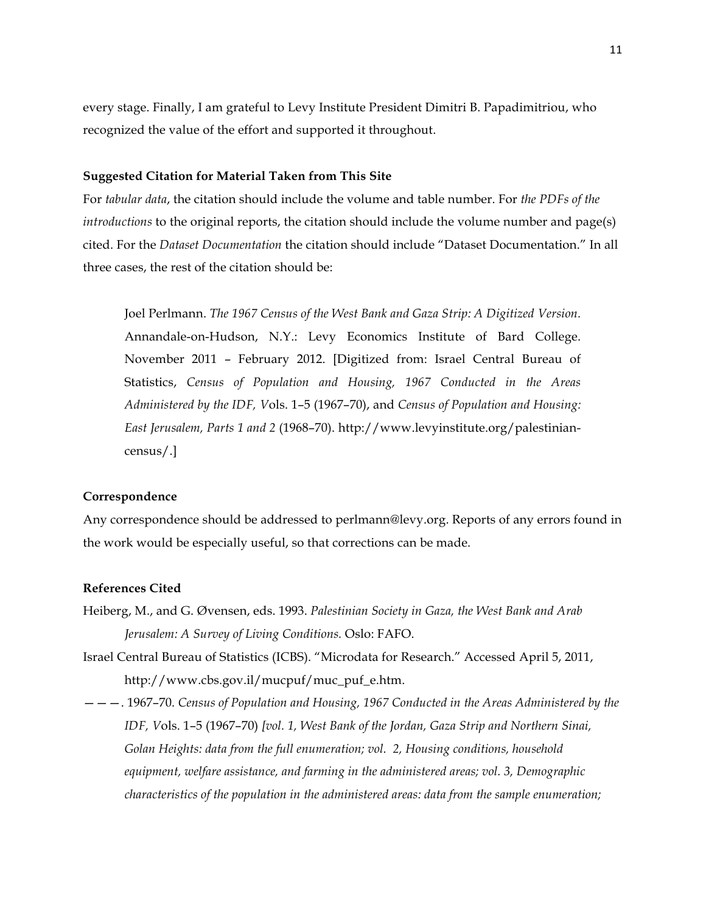every stage. Finally, I am grateful to Levy Institute President Dimitri B. Papadimitriou, who recognized the value of the effort and supported it throughout.

#### **Suggested Citation for Material Taken from This Site**

For *tabular data*, the citation should include the volume and table number. For *the PDFs of the introductions* to the original reports, the citation should include the volume number and page(s) cited. For the *Dataset Documentation* the citation should include "Dataset Documentation." In all three cases, the rest of the citation should be:

Joel Perlmann. *The 1967 Census of the West Bank and Gaza Strip: A Digitized Version.* Annandale-on-Hudson, N.Y.: Levy Economics Institute of Bard College. November 2011 – February 2012. [Digitized from: Israel Central Bureau of Statistics, *Census of Population and Housing, 1967 Conducted in the Areas Administered by the IDF, V*ols. 1–5 (1967–70), and *Census of Population and Housing: East Jerusalem, Parts 1 and 2* (1968–70). http://www.levyinstitute.org/palestiniancensus/.]

#### **Correspondence**

Any correspondence should be addressed to perlmann@levy.org. Reports of any errors found in the work would be especially useful, so that corrections can be made.

## **References Cited**

- Heiberg, M., and G. Øvensen, eds. 1993. *Palestinian Society in Gaza, the West Bank and Arab Jerusalem: A Survey of Living Conditions.* Oslo: FAFO.
- Israel Central Bureau of Statistics (ICBS). "Microdata for Research." Accessed April 5, 2011, http://www.cbs.gov.il/mucpuf/muc\_puf\_e.htm.
- ———. 1967–70. *Census of Population and Housing, 1967 Conducted in the Areas Administered by the IDF, V*ols. 1–5 (1967–70) *[vol. 1, West Bank of the Jordan, Gaza Strip and Northern Sinai, Golan Heights: data from the full enumeration; vol. 2, Housing conditions, household equipment, welfare assistance, and farming in the administered areas; vol. 3, Demographic characteristics of the population in the administered areas: data from the sample enumeration;*